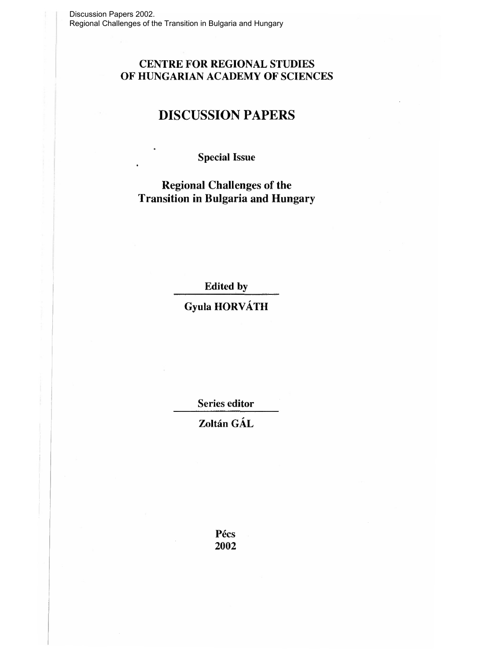# **CENTRE FOR REGIONAL STUDIES OF HUNGARIAN ACADEMY OF SCIENCES**

# **DISCUSSION PAPERS**

**Special Issue** 

**Regional Challenges of the Transition in Bulgaria and Hungary** 

**Edited by** 

**Gyula HORVATH** 

**Series editor** 

**Zoltan GAL** 

**Pecs 2002**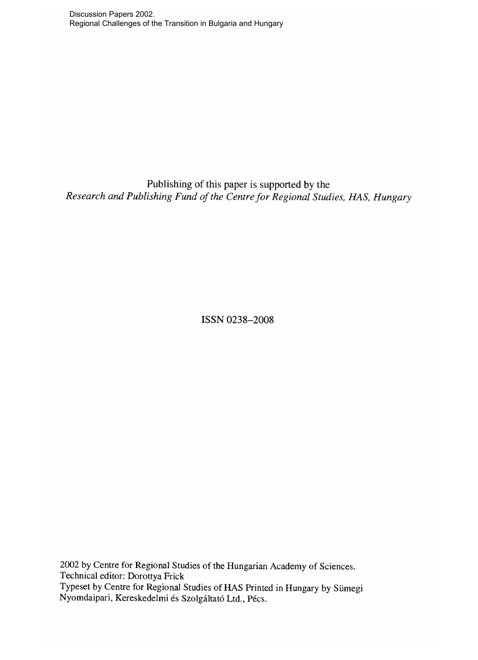Discussion Papers 2002. Regional Challenges of the Transition in Bulgaria and Hungary

Publishing of this paper is supported by the *Research and Publishing Fund of the Centre for Regional Studies, HAS, Hungary* 

ISSN 0238-2008

2002 by Centre for Regional Studies of the Hungarian Academy of Sciences. Technical editor: Dorottya Frick Typeset by Centre for Regional Studies of HAS Printed in Hungary by Sümegi Nyomdaipari, Kereskedelmi és Szolgáltató Ltd., Pécs.